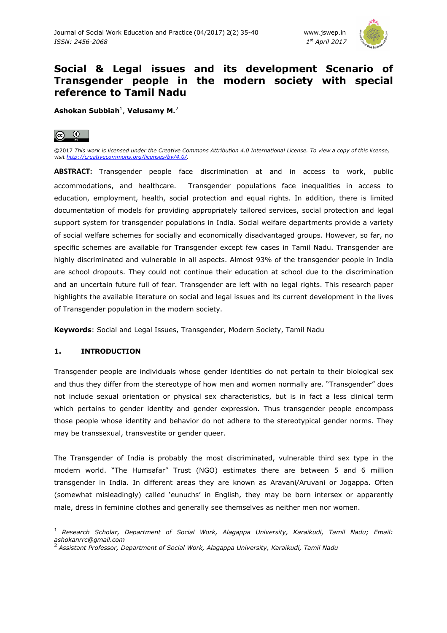

# **Social & Legal issues and its development Scenario of Transgender people in the modern society with special reference to Tamil Nadu**

**Ashokan Subbiah**<sup>1</sup> , **Velusamy M.**<sup>2</sup>



©2017 *This work is licensed under the Creative Commons Attribution 4.0 International License. To view a copy of this license, visit http://creativecommons.org/licenses/by/4.0/.* 

**ABSTRACT:** Transgender people face discrimination at and in access to work, public accommodations, and healthcare. Transgender populations face inequalities in access to education, employment, health, social protection and equal rights. In addition, there is limited documentation of models for providing appropriately tailored services, social protection and legal support system for transgender populations in India. Social welfare departments provide a variety of social welfare schemes for socially and economically disadvantaged groups. However, so far, no specific schemes are available for Transgender except few cases in Tamil Nadu. Transgender are highly discriminated and vulnerable in all aspects. Almost 93% of the transgender people in India are school dropouts. They could not continue their education at school due to the discrimination and an uncertain future full of fear. Transgender are left with no legal rights. This research paper highlights the available literature on social and legal issues and its current development in the lives of Transgender population in the modern society.

**Keywords**: Social and Legal Issues, Transgender, Modern Society, Tamil Nadu

# **1. INTRODUCTION**

ı

Transgender people are individuals whose gender identities do not pertain to their biological sex and thus they differ from the stereotype of how men and women normally are. "Transgender" does not include sexual orientation or physical sex characteristics, but is in fact a less clinical term which pertains to gender identity and gender expression. Thus transgender people encompass those people whose identity and behavior do not adhere to the stereotypical gender norms. They may be transsexual, transvestite or gender queer.

The Transgender of India is probably the most discriminated, vulnerable third sex type in the modern world. "The Humsafar" Trust (NGO) estimates there are between 5 and 6 million transgender in India. In different areas they are known as Aravani/Aruvani or Jogappa. Often (somewhat misleadingly) called 'eunuchs' in English, they may be born intersex or apparently male, dress in feminine clothes and generally see themselves as neither men nor women.

<sup>1</sup>*Research Scholar, Department of Social Work, Alagappa University, Karaikudi, Tamil Nadu; Email: ashokanrrc@gmail.com* 

<sup>2</sup>*Assistant Professor, Department of Social Work, Alagappa University, Karaikudi, Tamil Nadu*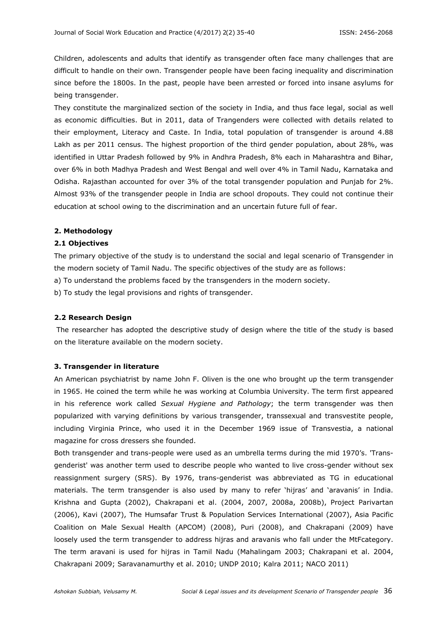Children, adolescents and adults that identify as transgender often face many challenges that are difficult to handle on their own. Transgender people have been facing inequality and discrimination since before the 1800s. In the past, people have been arrested or forced into insane asylums for being transgender.

They constitute the marginalized section of the society in India, and thus face legal, social as well as economic difficulties. But in 2011, data of Trangenders were collected with details related to their employment, Literacy and Caste. In India, total population of transgender is around 4.88 Lakh as per 2011 census. The highest proportion of the third gender population, about 28%, was identified in Uttar Pradesh followed by 9% in Andhra Pradesh, 8% each in Maharashtra and Bihar, over 6% in both Madhya Pradesh and West Bengal and well over 4% in Tamil Nadu, Karnataka and Odisha. Rajasthan accounted for over 3% of the total transgender population and Punjab for 2%. Almost 93% of the transgender people in India are school dropouts. They could not continue their education at school owing to the discrimination and an uncertain future full of fear.

### **2. Methodology**

# **2.1 Objectives**

The primary objective of the study is to understand the social and legal scenario of Transgender in the modern society of Tamil Nadu. The specific objectives of the study are as follows:

a) To understand the problems faced by the transgenders in the modern society.

b) To study the legal provisions and rights of transgender.

#### **2.2 Research Design**

 The researcher has adopted the descriptive study of design where the title of the study is based on the literature available on the modern society.

#### **3. Transgender in literature**

An American psychiatrist by name John F. Oliven is the one who brought up the term transgender in 1965. He coined the term while he was working at Columbia University. The term first appeared in his reference work called *Sexual Hygiene and Pathology*; the term transgender was then popularized with varying definitions by various transgender, transsexual and transvestite people, including Virginia Prince, who used it in the December 1969 issue of Transvestia, a national magazine for cross dressers she founded.

Both transgender and trans-people were used as an umbrella terms during the mid 1970's. 'Transgenderist' was another term used to describe people who wanted to live cross-gender without sex reassignment surgery (SRS). By 1976, trans-genderist was abbreviated as TG in educational materials. The term transgender is also used by many to refer 'hijras' and 'aravanis' in India. Krishna and Gupta (2002), Chakrapani et al. (2004, 2007, 2008a, 2008b), Project Parivartan (2006), Kavi (2007), The Humsafar Trust & Population Services International (2007), Asia Pacific Coalition on Male Sexual Health (APCOM) (2008), Puri (2008), and Chakrapani (2009) have loosely used the term transgender to address hijras and aravanis who fall under the MtFcategory. The term aravani is used for hijras in Tamil Nadu (Mahalingam 2003; Chakrapani et al. 2004, Chakrapani 2009; Saravanamurthy et al. 2010; UNDP 2010; Kalra 2011; NACO 2011)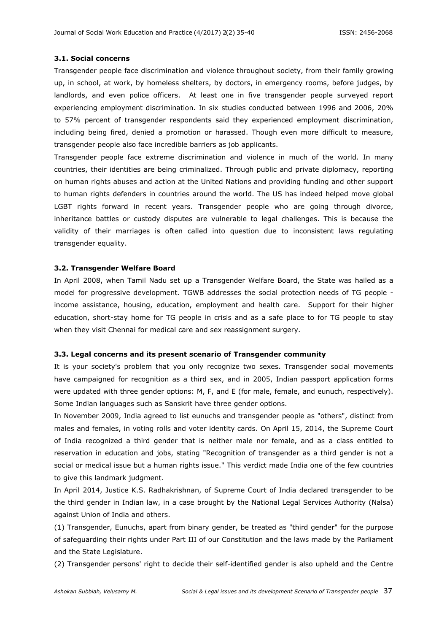#### **3.1. Social concerns**

Transgender people face discrimination and violence throughout society, from their family growing up, in school, at work, by homeless shelters, by doctors, in emergency rooms, before judges, by landlords, and even police officers. At least one in five transgender people surveyed report experiencing employment discrimination. In six studies conducted between 1996 and 2006, 20% to 57% percent of transgender respondents said they experienced employment discrimination, including being fired, denied a promotion or harassed. Though even more difficult to measure, transgender people also face incredible barriers as job applicants.

Transgender people face extreme discrimination and violence in much of the world. In many countries, their identities are being criminalized. Through public and private diplomacy, reporting on human rights abuses and action at the United Nations and providing funding and other support to human rights defenders in countries around the world. The US has indeed helped move global LGBT rights forward in recent years. Transgender people who are going through divorce, inheritance battles or custody disputes are vulnerable to legal challenges. This is because the validity of their marriages is often called into question due to inconsistent laws regulating transgender equality.

#### **3.2. Transgender Welfare Board**

In April 2008, when Tamil Nadu set up a Transgender Welfare Board, the State was hailed as a model for progressive development. TGWB addresses the social protection needs of TG people income assistance, housing, education, employment and health care. Support for their higher education, short-stay home for TG people in crisis and as a safe place to for TG people to stay when they visit Chennai for medical care and sex reassignment surgery.

#### **3.3. Legal concerns and its present scenario of Transgender community**

It is your society's problem that you only recognize two sexes. Transgender social movements have campaigned for recognition as a third sex, and in 2005, Indian passport application forms were updated with three gender options: M, F, and E (for male, female, and eunuch, respectively). Some Indian languages such as Sanskrit have three gender options.

In November 2009, India agreed to list eunuchs and transgender people as "others", distinct from males and females, in voting rolls and voter identity cards. On April 15, 2014, the Supreme Court of India recognized a third gender that is neither male nor female, and as a class entitled to reservation in education and jobs, stating "Recognition of transgender as a third gender is not a social or medical issue but a human rights issue." This verdict made India one of the few countries to give this landmark judgment.

In April 2014, Justice K.S. Radhakrishnan, of Supreme Court of India declared transgender to be the third gender in Indian law, in a case brought by the National Legal Services Authority (Nalsa) against Union of India and others.

(1) Transgender, Eunuchs, apart from binary gender, be treated as "third gender" for the purpose of safeguarding their rights under Part III of our Constitution and the laws made by the Parliament and the State Legislature.

(2) Transgender persons' right to decide their self-identified gender is also upheld and the Centre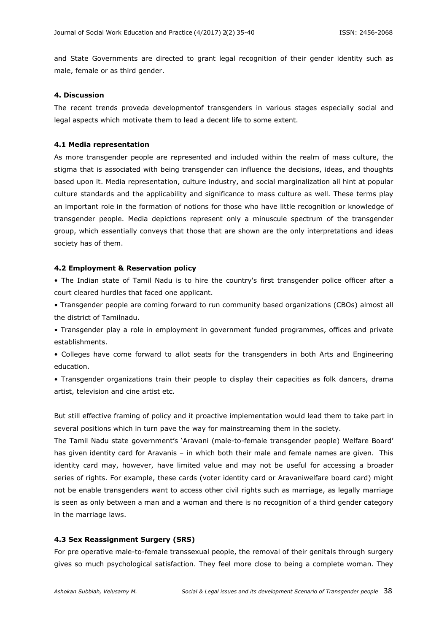and State Governments are directed to grant legal recognition of their gender identity such as male, female or as third gender.

#### **4. Discussion**

The recent trends proveda developmentof transgenders in various stages especially social and legal aspects which motivate them to lead a decent life to some extent.

### **4.1 Media representation**

As more transgender people are represented and included within the realm of mass culture, the stigma that is associated with being transgender can influence the decisions, ideas, and thoughts based upon it. Media representation, culture industry, and social marginalization all hint at popular culture standards and the applicability and significance to mass culture as well. These terms play an important role in the formation of notions for those who have little recognition or knowledge of transgender people. Media depictions represent only a minuscule spectrum of the transgender group, which essentially conveys that those that are shown are the only interpretations and ideas society has of them.

#### **4.2 Employment & Reservation policy**

• The Indian state of Tamil Nadu is to hire the country's first transgender police officer after a court cleared hurdles that faced one applicant.

• Transgender people are coming forward to run community based organizations (CBOs) almost all the district of Tamilnadu.

• Transgender play a role in employment in government funded programmes, offices and private establishments.

• Colleges have come forward to allot seats for the transgenders in both Arts and Engineering education.

• Transgender organizations train their people to display their capacities as folk dancers, drama artist, television and cine artist etc.

But still effective framing of policy and it proactive implementation would lead them to take part in several positions which in turn pave the way for mainstreaming them in the society.

The Tamil Nadu state government's 'Aravani (male-to-female transgender people) Welfare Board' has given identity card for Aravanis – in which both their male and female names are given. This identity card may, however, have limited value and may not be useful for accessing a broader series of rights. For example, these cards (voter identity card or Aravaniwelfare board card) might not be enable transgenders want to access other civil rights such as marriage, as legally marriage is seen as only between a man and a woman and there is no recognition of a third gender category in the marriage laws.

#### **4.3 Sex Reassignment Surgery (SRS)**

For pre operative male-to-female transsexual people, the removal of their genitals through surgery gives so much psychological satisfaction. They feel more close to being a complete woman. They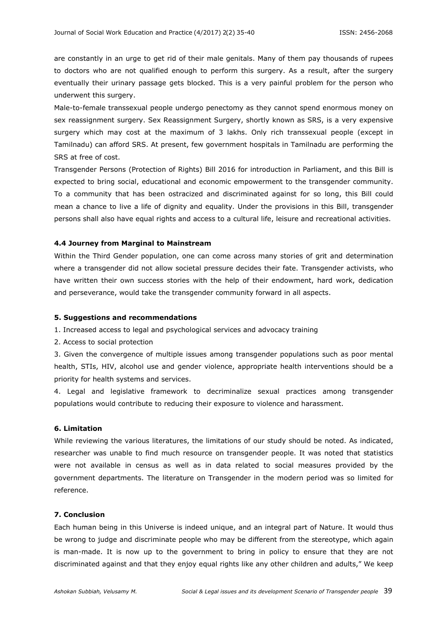are constantly in an urge to get rid of their male genitals. Many of them pay thousands of rupees to doctors who are not qualified enough to perform this surgery. As a result, after the surgery eventually their urinary passage gets blocked. This is a very painful problem for the person who underwent this surgery.

Male-to-female transsexual people undergo penectomy as they cannot spend enormous money on sex reassignment surgery. Sex Reassignment Surgery, shortly known as SRS, is a very expensive surgery which may cost at the maximum of 3 lakhs. Only rich transsexual people (except in Tamilnadu) can afford SRS. At present, few government hospitals in Tamilnadu are performing the SRS at free of cost.

Transgender Persons (Protection of Rights) Bill 2016 for introduction in Parliament, and this Bill is expected to bring social, educational and economic empowerment to the transgender community. To a community that has been ostracized and discriminated against for so long, this Bill could mean a chance to live a life of dignity and equality. Under the provisions in this Bill, transgender persons shall also have equal rights and access to a cultural life, leisure and recreational activities.

### **4.4 Journey from Marginal to Mainstream**

Within the Third Gender population, one can come across many stories of grit and determination where a transgender did not allow societal pressure decides their fate. Transgender activists, who have written their own success stories with the help of their endowment, hard work, dedication and perseverance, would take the transgender community forward in all aspects.

### **5. Suggestions and recommendations**

1. Increased access to legal and psychological services and advocacy training

2. Access to social protection

3. Given the convergence of multiple issues among transgender populations such as poor mental health, STIs, HIV, alcohol use and gender violence, appropriate health interventions should be a priority for health systems and services.

4. Legal and legislative framework to decriminalize sexual practices among transgender populations would contribute to reducing their exposure to violence and harassment.

#### **6. Limitation**

While reviewing the various literatures, the limitations of our study should be noted. As indicated, researcher was unable to find much resource on transgender people. It was noted that statistics were not available in census as well as in data related to social measures provided by the government departments. The literature on Transgender in the modern period was so limited for reference.

# **7. Conclusion**

Each human being in this Universe is indeed unique, and an integral part of Nature. It would thus be wrong to judge and discriminate people who may be different from the stereotype, which again is man-made. It is now up to the government to bring in policy to ensure that they are not discriminated against and that they enjoy equal rights like any other children and adults," We keep